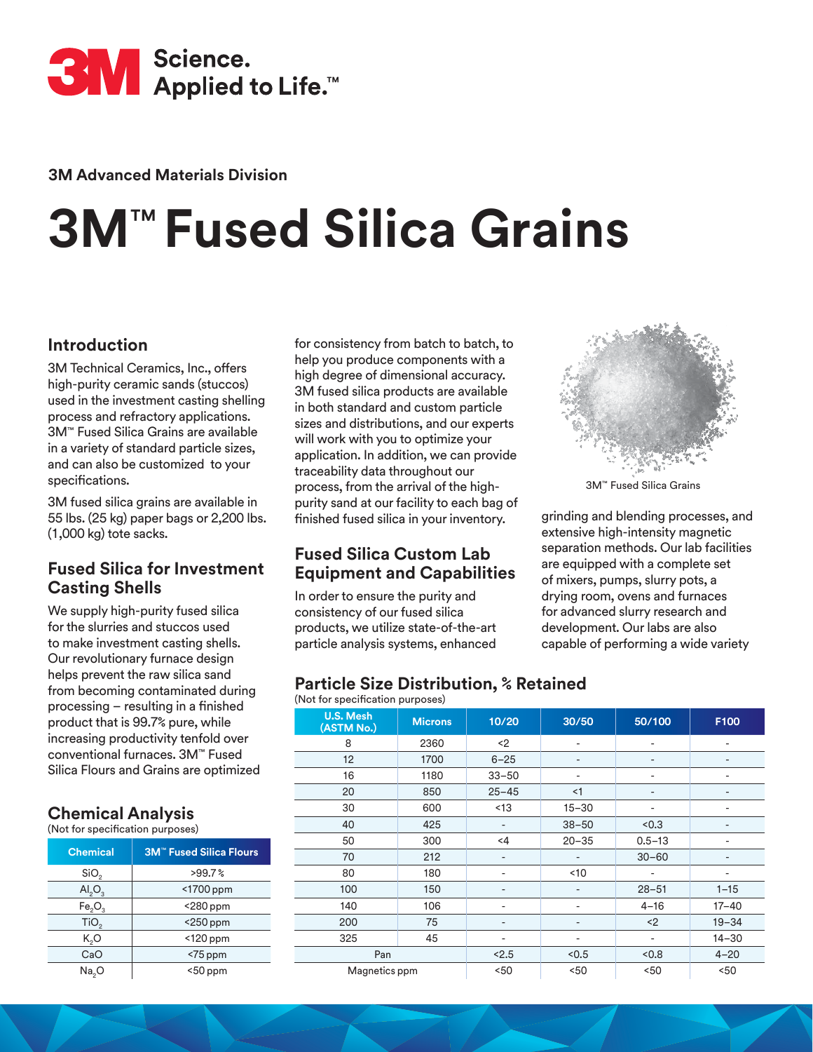

**3M Advanced Materials Division**

# **3M**™ **Fused Silica Grains**

# **Introduction**

3M Technical Ceramics, Inc., offers high-purity ceramic sands (stuccos) used in the investment casting shelling process and refractory applications. 3M™ Fused Silica Grains are available in a variety of standard particle sizes, and can also be customized to your specifications.

3M fused silica grains are available in 55 lbs. (25 kg) paper bags or 2,200 lbs. (1,000 kg) tote sacks.

## **Fused Silica for Investment Casting Shells**

We supply high-purity fused silica for the slurries and stuccos used to make investment casting shells. Our revolutionary furnace design helps prevent the raw silica sand from becoming contaminated during processing – resulting in a finished product that is 99.7% pure, while increasing productivity tenfold over conventional furnaces. 3M™ Fused Silica Flours and Grains are optimized

#### **Chemical Analysis**  (Not for specification purposes)

| <b>Chemical</b>                | <b>3M<sup>™</sup> Fused Silica Flours</b> |  |  |  |
|--------------------------------|-------------------------------------------|--|--|--|
| SiO <sub>2</sub>               | >99.7%                                    |  |  |  |
| AI <sub>2</sub> O <sub>3</sub> | <1700 ppm                                 |  |  |  |
| Fe <sub>2</sub> O <sub>3</sub> | $<$ 280 ppm                               |  |  |  |
| TiO <sub>2</sub>               | $<$ 250 ppm                               |  |  |  |
| $K_0O$                         | <120 ppm                                  |  |  |  |
| CaO                            | $<$ 75 ppm                                |  |  |  |
| Na <sub>2</sub> O              | $<$ 50 ppm                                |  |  |  |

for consistency from batch to batch, to help you produce components with a high degree of dimensional accuracy. 3M fused silica products are available in both standard and custom particle sizes and distributions, and our experts will work with you to optimize your application. In addition, we can provide traceability data throughout our process, from the arrival of the highpurity sand at our facility to each bag of finished fused silica in your inventory.

## **Fused Silica Custom Lab Equipment and Capabilities**

In order to ensure the purity and consistency of our fused silica products, we utilize state-of-the-art particle analysis systems, enhanced

### **Particle Size Distribution, % Retained**



| <b>U.S. Mesh</b><br>(ASTM No.) | <b>Microns</b> | 10/20     | 30/50                    | 50/100     | F100      |
|--------------------------------|----------------|-----------|--------------------------|------------|-----------|
| 8                              | 2360           | $2$       | $\overline{\phantom{a}}$ | -          | ٠         |
| 12                             | 1700           | $6 - 25$  | ٠                        | ٠          |           |
| 16                             | 1180           | $33 - 50$ |                          |            |           |
| 20                             | 850            | $25 - 45$ | <1                       |            |           |
| 30                             | 600            | <13       | $15 - 30$                | -          |           |
| 40                             | 425            | ٠         | $38 - 50$                | < 0.3      |           |
| 50                             | 300            | $<$ 4     | $20 - 35$                | $0.5 - 13$ |           |
| 70                             | 212            |           |                          | $30 - 60$  |           |
| 80                             | 180            | ۰         | <10                      | -          |           |
| 100                            | 150            | ٠         | ۰                        | $28 - 51$  | $1 - 15$  |
| 140                            | 106            | ۰         |                          | $4 - 16$   | $17 - 40$ |
| 200                            | 75             |           |                          | $2$        | $19 - 34$ |
| 325                            | 45             |           |                          | ٠          | $14 - 30$ |
| Pan                            |                | < 2.5     | < 0.5                    | < 0.8      | $4 - 20$  |
| Magnetics ppm                  |                | 50<       | < 50                     | 50<        | 50<       |



3M™ Fused Silica Grains

grinding and blending processes, and extensive high-intensity magnetic separation methods. Our lab facilities are equipped with a complete set of mixers, pumps, slurry pots, a drying room, ovens and furnaces for advanced slurry research and development. Our labs are also capable of performing a wide variety